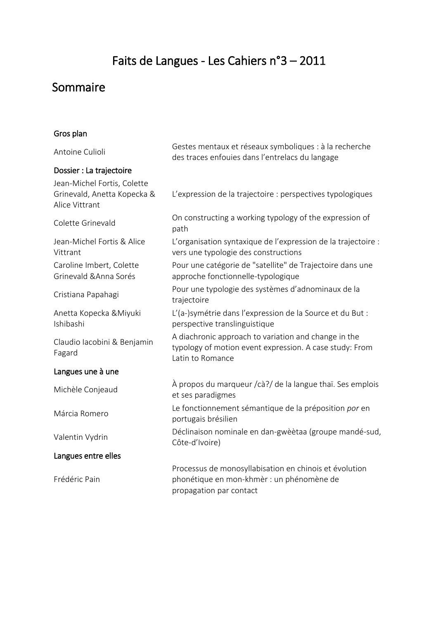## Faits de Langues - Les Cahiers n°3 – 2011

## Sommaire

### Gros plan

| Antoine Culioli                                                              | Gestes mentaux et réseaux symboliques : à la recherche<br>des traces enfouies dans l'entrelacs du langage                           |
|------------------------------------------------------------------------------|-------------------------------------------------------------------------------------------------------------------------------------|
| Dossier : La trajectoire                                                     |                                                                                                                                     |
| Jean-Michel Fortis, Colette<br>Grinevald, Anetta Kopecka &<br>Alice Vittrant | L'expression de la trajectoire : perspectives typologiques                                                                          |
| Colette Grinevald                                                            | On constructing a working typology of the expression of<br>path                                                                     |
| Jean-Michel Fortis & Alice<br>Vittrant                                       | L'organisation syntaxique de l'expression de la trajectoire :<br>vers une typologie des constructions                               |
| Caroline Imbert, Colette<br>Grinevald & Anna Sorés                           | Pour une catégorie de "satellite" de Trajectoire dans une<br>approche fonctionnelle-typologique                                     |
| Cristiana Papahagi                                                           | Pour une typologie des systèmes d'adnominaux de la<br>trajectoire                                                                   |
| Anetta Kopecka & Miyuki<br>Ishibashi                                         | L'(a-)symétrie dans l'expression de la Source et du But :<br>perspective translinguistique                                          |
| Claudio Iacobini & Benjamin<br>Fagard                                        | A diachronic approach to variation and change in the<br>typology of motion event expression. A case study: From<br>Latin to Romance |
| Langues une à une                                                            |                                                                                                                                     |
| Michèle Conjeaud                                                             | À propos du marqueur /cà?/ de la langue thaï. Ses emplois<br>et ses paradigmes                                                      |
| Márcia Romero                                                                | Le fonctionnement sémantique de la préposition por en<br>portugais brésilien                                                        |
| Valentin Vydrin                                                              | Déclinaison nominale en dan-gwèètaa (groupe mandé-sud,<br>Côte-d'Ivoire)                                                            |
| Langues entre elles                                                          |                                                                                                                                     |
| Frédéric Pain                                                                | Processus de monosyllabisation en chinois et évolution<br>phonétique en mon-khmèr : un phénomène de<br>propagation par contact      |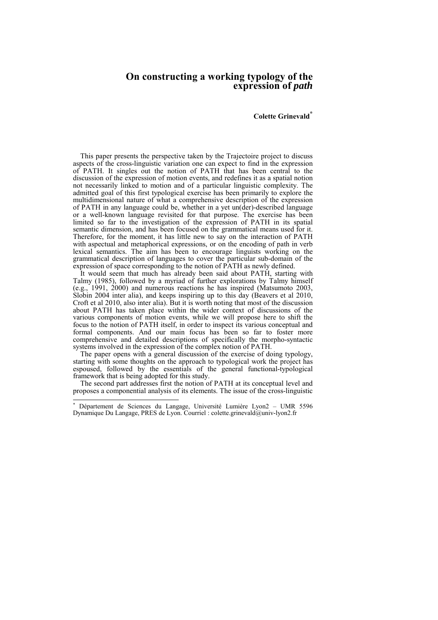# **On constructing a working typology of the expression of** *path*

#### **Colette Grinevald\***

This paper presents the perspective taken by the Trajectoire project to discuss aspects of the cross-linguistic variation one can expect to find in the expression of PATH. It singles out the notion of PATH that has been central to the discussion of the expression of motion events, and redefines it as a spatial notion not necessarily linked to motion and of a particular linguistic complexity. The admitted goal of this first typological exercise has been primarily to explore the multidimensional nature of what a comprehensive description of the expression of PATH in any language could be, whether in a yet un(der)-described language or a well-known language revisited for that purpose. The exercise has been limited so far to the investigation of the expression of PATH in its spatial semantic dimension, and has been focused on the grammatical means used for it. Therefore, for the moment, it has little new to say on the interaction of PATH with aspectual and metaphorical expressions, or on the encoding of path in verb lexical semantics. The aim has been to encourage linguists working on the grammatical description of languages to cover the particular sub-domain of the expression of space corresponding to the notion of PATH as newly defined.

It would seem that much has already been said about PATH, starting with Talmy (1985), followed by a myriad of further explorations by Talmy himself (e.g., 1991, 2000) and numerous reactions he has inspired (Matsumoto 2003, Slobin 2004 inter alia), and keeps inspiring up to this day (Beavers et al 2010, Croft et al 2010, also inter alia). But it is worth noting that most of the discussion about PATH has taken place within the wider context of discussions of the various components of motion events, while we will propose here to shift the focus to the notion of PATH itself, in order to inspect its various conceptual and formal components. And our main focus has been so far to foster more comprehensive and detailed descriptions of specifically the morpho-syntactic systems involved in the expression of the complex notion of PATH.

The paper opens with a general discussion of the exercise of doing typology, starting with some thoughts on the approach to typological work the project has espoused, followed by the essentials of the general functional-typological framework that is being adopted for this study.

The second part addresses first the notion of PATH at its conceptual level and proposes a componential analysis of its elements. The issue of the cross-linguistic

Département de Sciences du Langage, Université Lumière Lyon2 - UMR 5596 Dynamique Du Langage, PRES de Lyon. Courriel : colette.grinevald@univ-lyon2.fr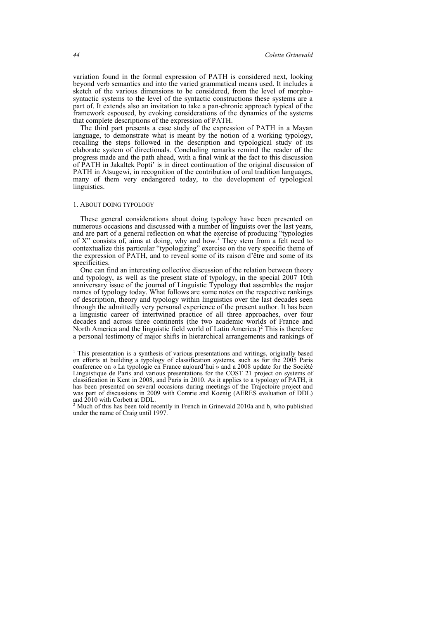variation found in the formal expression of PATH is considered next, looking beyond verb semantics and into the varied grammatical means used. It includes a sketch of the various dimensions to be considered, from the level of morphosyntactic systems to the level of the syntactic constructions these systems are a part of. It extends also an invitation to take a pan-chronic approach typical of the framework espoused, by evoking considerations of the dynamics of the systems that complete descriptions of the expression of PATH.

The third part presents a case study of the expression of PATH in a Mayan language, to demonstrate what is meant by the notion of a working typology, recalling the steps followed in the description and typological study of its elaborate system of directionals. Concluding remarks remind the reader of the progress made and the path ahead, with a final wink at the fact to this discussion of PATH in Jakaltek Popti' is in direct continuation of the original discussion of PATH in Atsugewi, in recognition of the contribution of oral tradition languages, many of them very endangered today, to the development of typological linguistics.

#### 1. ABOUT DOING TYPOLOGY

These general considerations about doing typology have been presented on numerous occasions and discussed with a number of linguists over the last years, and are part of a general reflection on what the exercise of producing "typologies of X" consists of, aims at doing, why and how.<sup>1</sup> They stem from a felt need to contextualize this particular "typologizing" exercise on the very specific theme of the expression of PATH, and to reveal some of its raison d'être and some of its specificities.

One can find an interesting collective discussion of the relation between theory and typology, as well as the present state of typology, in the special 2007 10th anniversary issue of the journal of Linguistic Typology that assembles the major names of typology today. What follows are some notes on the respective rankings of description, theory and typology within linguistics over the last decades seen through the admittedly very personal experience of the present author. It has been a linguistic career of intertwined practice of all three approaches, over four decades and across three continents (the two academic worlds of France and North America and the linguistic field world of Latin America.)<sup>2</sup> This is therefore a personal testimony of major shifts in hierarchical arrangements and rankings of

<sup>&</sup>lt;sup>1</sup> This presentation is a synthesis of various presentations and writings, originally based on efforts at building a typology of classification systems, such as for the 2005 Paris conference on « La typologie en France aujourd'hui » and a 2008 update for the Société Linguistique de Paris and various presentations for the COST 21 project on systems of classification in Kent in 2008, and Paris in 2010. As it applies to a typology of PATH, it has been presented on several occasions during meetings of the Trajectoire project and was part of discussions in 2009 with Comrie and Koenig (AERES evaluation of DDL) and 2010 with Corbett at DDL.

<sup>2</sup> Much of this has been told recently in French in Grinevald 2010a and b, who published under the name of Craig until 1997.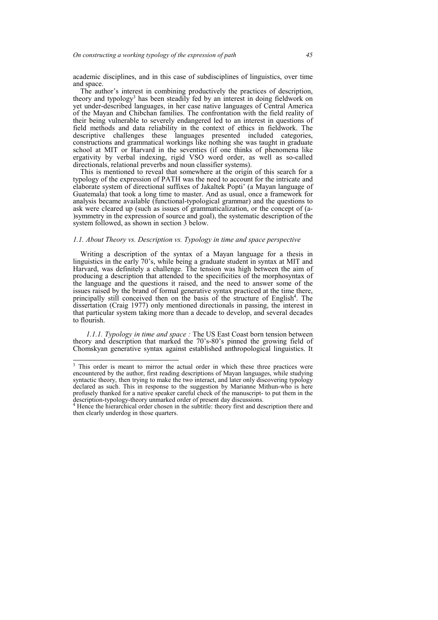academic disciplines, and in this case of subdisciplines of linguistics, over time and space.

The author's interest in combining productively the practices of description, theory and typology<sup>3</sup> has been steadily fed by an interest in doing fieldwork on yet under-described languages, in her case native languages of Central America of the Mayan and Chibchan families. The confrontation with the field reality of their being vulnerable to severely endangered led to an interest in questions of field methods and data reliability in the context of ethics in fieldwork. The descriptive challenges these languages presented included categories, constructions and grammatical workings like nothing she was taught in graduate school at MIT or Harvard in the seventies (if one thinks of phenomena like ergativity by verbal indexing, rigid VSO word order, as well as so-called directionals, relational preverbs and noun classifier systems).

This is mentioned to reveal that somewhere at the origin of this search for a typology of the expression of PATH was the need to account for the intricate and elaborate system of directional suffixes of Jakaltek Popti' (a Mayan language of Guatemala) that took a long time to master. And as usual, once a framework for analysis became available (functional-typological grammar) and the questions to ask were cleared up (such as issues of grammaticalization, or the concept of (a- )symmetry in the expression of source and goal), the systematic description of the system followed, as shown in section 3 below.

#### *1.1. About Theory vs. Description vs. Typology in time and space perspective*

Writing a description of the syntax of a Mayan language for a thesis in linguistics in the early 70's, while being a graduate student in syntax at MIT and Harvard, was definitely a challenge. The tension was high between the aim of producing a description that attended to the specificities of the morphosyntax of the language and the questions it raised, and the need to answer some of the issues raised by the brand of formal generative syntax practiced at the time there, principally still conceived then on the basis of the structure of English<sup>4</sup>. The dissertation (Craig 1977) only mentioned directionals in passing, the interest in that particular system taking more than a decade to develop, and several decades to flourish.

*1.1.1. Typology in time and space :* The US East Coast born tension between theory and description that marked the 70's-80's pinned the growing field of Chomskyan generative syntax against established anthropological linguistics. It

<sup>&</sup>lt;sup>3</sup> This order is meant to mirror the actual order in which these three practices were encountered by the author, first reading descriptions of Mayan languages, while studying syntactic theory, then trying to make the two interact, and later only discovering typology declared as such. This in response to the suggestion by Marianne Mithun-who is here profusely thanked for a native speaker careful check of the manuscript- to put them in the description-typology-theory unmarked order of present day discussions.

<sup>&</sup>lt;sup>4</sup> Hence the hierarchical order chosen in the subtitle: theory first and description there and then clearly underdog in those quarters.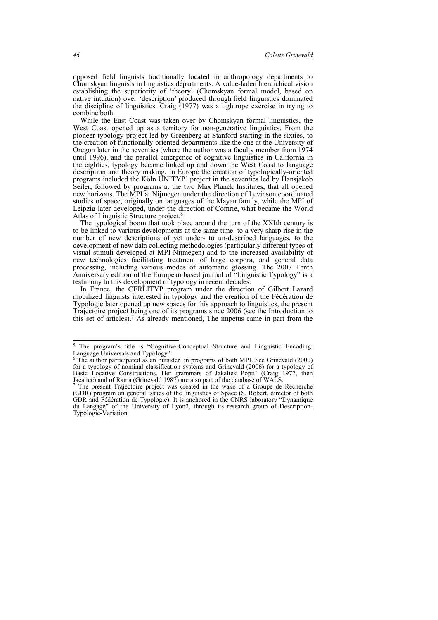opposed field linguists traditionally located in anthropology departments to Chomskyan linguists in linguistics departments. A value-laden hierarchical vision establishing the superiority of 'theory' (Chomskyan formal model, based on native intuition) over 'description' produced through field linguistics dominated the discipline of linguistics. Craig (1977) was a tightrope exercise in trying to combine both.

While the East Coast was taken over by Chomskyan formal linguistics, the West Coast opened up as a territory for non-generative linguistics. From the pioneer typology project led by Greenberg at Stanford starting in the sixties, to the creation of functionally-oriented departments like the one at the University of Oregon later in the seventies (where the author was a faculty member from 1974 until 1996), and the parallel emergence of cognitive linguistics in California in the eighties, typology became linked up and down the West Coast to language description and theory making. In Europe the creation of typologically-oriented programs included the Köln UNITYP<sup>5</sup> project in the seventies led by Hansjakob Seiler, followed by programs at the two Max Planck Institutes, that all opened new horizons. The MPI at Nijmegen under the direction of Levinson coordinated studies of space, originally on languages of the Mayan family, while the MPI of Leipzig later developed, under the direction of Comrie, what became the World Atlas of Linguistic Structure project.6

The typological boom that took place around the turn of the XXIth century is to be linked to various developments at the same time: to a very sharp rise in the number of new descriptions of yet under- to un-described languages, to the development of new data collecting methodologies (particularly different types of visual stimuli developed at MPI-Nijmegen) and to the increased availability of new technologies facilitating treatment of large corpora, and general data processing, including various modes of automatic glossing. The 2007 Tenth Anniversary edition of the European based journal of "Linguistic Typology" is a testimony to this development of typology in recent decades.

In France, the CERLITYP program under the direction of Gilbert Lazard mobilized linguists interested in typology and the creation of the Fédération de Typologie later opened up new spaces for this approach to linguistics, the present Trajectoire project being one of its programs since 2006 (see the Introduction to this set of articles).<sup>7</sup> As already mentioned, The impetus came in part from the

<sup>&</sup>lt;sup>5</sup> The program's title is "Cognitive-Conceptual Structure and Linguistic Encoding: Language Universals and Typology"

<sup>&</sup>lt;sup>6</sup> The author participated as an outsider in programs of both MPI. See Grinevald (2000) for a typology of nominal classification systems and Grinevald (2006) for a typology of Basic Locative Constructions. Her grammars of Jakaltek Popti' (Craig 1977, then Jacaltec) and of Rama (Grinevald 1987) are also part of the database of WALS.

The present Trajectoire project was created in the wake of a Groupe de Recherche (GDR) program on general issues of the linguistics of Space (S. Robert, director of both GDR and Fédération de Typologie). It is anchored in the CNRS laboratory "Dynamique du Langage" of the University of Lyon2, through its research group of Description-Typologie-Variation.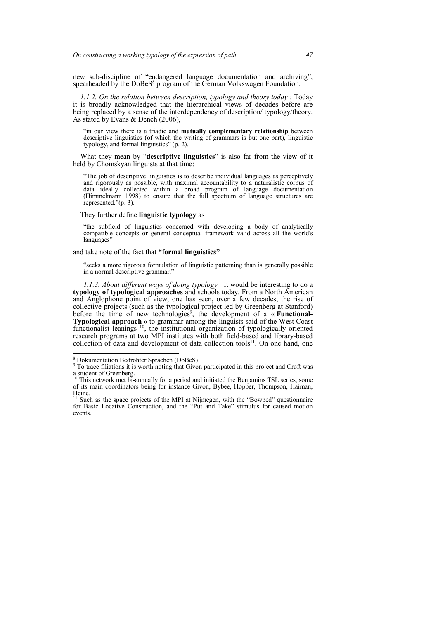new sub-discipline of "endangered language documentation and archiving", spearheaded by the  $DoBeS<sup>8</sup>$  program of the German Volkswagen Foundation.

*1.1.2. On the relation between description, typology and theory today : Today* it is broadly acknowledged that the hierarchical views of decades before are being replaced by a sense of the interdependency of description/ typology/theory. As stated by Evans & Dench (2006),

"in our view there is a triadic and **mutually complementary relationship** between descriptive linguistics (of which the writing of grammars is but one part), linguistic typology, and formal linguistics" (p. 2).

What they mean by "**descriptive linguistics**" is also far from the view of it held by Chomskyan linguists at that time:

"The job of descriptive linguistics is to describe individual languages as perceptively and rigorously as possible, with maximal accountability to a naturalistic corpus of data ideally collected within a broad program of language documentation (Himmelmann 1998) to ensure that the full spectrum of language structures are represented."(p. 3).

#### They further define **linguistic typology** as

"the subfield of linguistics concerned with developing a body of analytically compatible concepts or general conceptual framework valid across all the world's languages'

#### and take note of the fact that **"formal linguistics"**

"seeks a more rigorous formulation of linguistic patterning than is generally possible in a normal descriptive grammar.'

*1.1.3. About different ways of doing typology :* It would be interesting to do a **typology of typological approaches** and schools today. From a North American and Anglophone point of view, one has seen, over a few decades, the rise of collective projects (such as the typological project led by Greenberg at Stanford) before the time of new technologies<sup>9</sup>, the development of a «**Functional-Typological approach** » to grammar among the linguists said of the West Coast functionalist leanings 10, the institutional organization of typologically oriented research programs at two MPI institutes with both field-based and library-based collection of data and development of data collection tools<sup>11</sup>. On one hand, one

<sup>8</sup> Dokumentation Bedrohter Sprachen (DoBeS)

<sup>&</sup>lt;sup>9</sup> To trace filiations it is worth noting that Givon participated in this project and Croft was a student of Greenberg.

<sup>&</sup>lt;sup>10</sup> This network met bi-annually for a period and initiated the Benjamins TSL series, some of its main coordinators being for instance Givon, Bybee, Hopper, Thompson, Haiman, Heine.

<sup>&</sup>lt;sup>11</sup> Such as the space projects of the MPI at Nijmegen, with the "Bowped" questionnaire for Basic Locative Construction, and the "Put and Take" stimulus for caused motion events.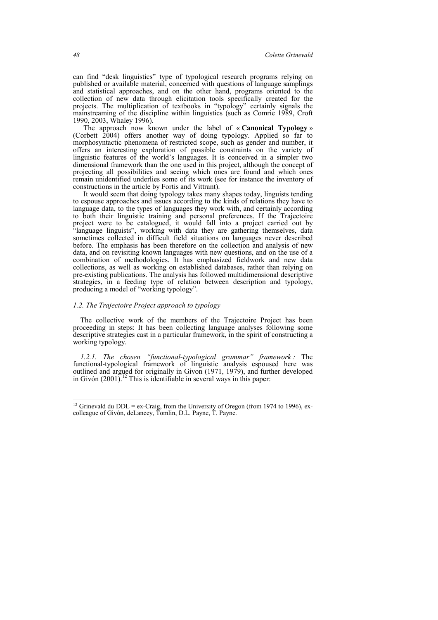can find "desk linguistics" type of typological research programs relying on published or available material, concerned with questions of language samplings and statistical approaches, and on the other hand, programs oriented to the collection of new data through elicitation tools specifically created for the projects. The multiplication of textbooks in "typology" certainly signals the mainstreaming of the discipline within linguistics (such as Comrie 1989, Croft 1990, 2003, Whaley 1996).

The approach now known under the label of « **Canonical Typology** » (Corbett 2004) offers another way of doing typology. Applied so far to morphosyntactic phenomena of restricted scope, such as gender and number, it offers an interesting exploration of possible constraints on the variety of linguistic features of the world's languages. It is conceived in a simpler two dimensional framework than the one used in this project, although the concept of projecting all possibilities and seeing which ones are found and which ones remain unidentified underlies some of its work (see for instance the inventory of constructions in the article by Fortis and Vittrant).

It would seem that doing typology takes many shapes today, linguists tending to espouse approaches and issues according to the kinds of relations they have to language data, to the types of languages they work with, and certainly according to both their linguistic training and personal preferences. If the Trajectoire project were to be catalogued, it would fall into a project carried out by "language linguists", working with data they are gathering themselves, data sometimes collected in difficult field situations on languages never described before. The emphasis has been therefore on the collection and analysis of new data, and on revisiting known languages with new questions, and on the use of a combination of methodologies. It has emphasized fieldwork and new data collections, as well as working on established databases, rather than relying on pre-existing publications. The analysis has followed multidimensional descriptive strategies, in a feeding type of relation between description and typology, producing a model of "working typology".

#### *1.2. The Trajectoire Project approach to typology*

The collective work of the members of the Trajectoire Project has been proceeding in steps: It has been collecting language analyses following some descriptive strategies cast in a particular framework, in the spirit of constructing a working typology.

*1.2.1. The chosen "functional-typological grammar" framework :* The functional-typological framework of linguistic analysis espoused here was outlined and argued for originally in Givon (1971, 1979), and further developed in Givón  $(2001)$ .<sup>12</sup> This is identifiable in several ways in this paper:

<sup>&</sup>lt;sup>12</sup> Grinevald du DDL = ex-Craig, from the University of Oregon (from 1974 to 1996), excolleague of Givón, deLancey, Tomlin, D.L. Payne, T. Payne.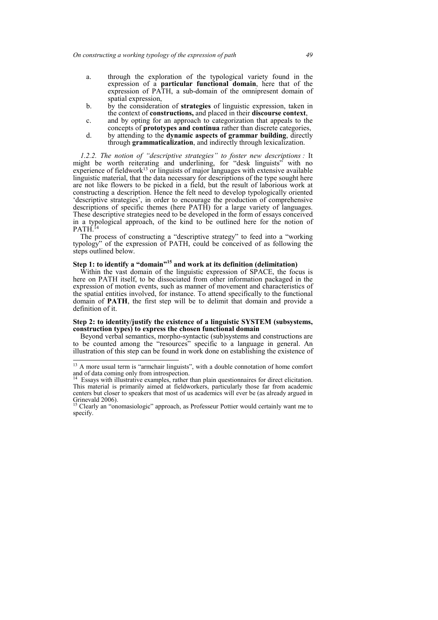- a. through the exploration of the typological variety found in the expression of a **particular functional domain**, here that of the expression of PATH, a sub-domain of the omnipresent domain of spatial expression,
- b. by the consideration of **strategies** of linguistic expression, taken in the context of **constructions,** and placed in their **discourse context**,
- c. and by opting for an approach to categorization that appeals to the concepts of **prototypes and continua** rather than discrete categories,
- d. by attending to the **dynamic aspects of grammar building**, directly through **grammaticalization**, and indirectly through lexicalization.

1.2.2. The notion of "descriptive strategies" to foster new descriptions : It might be worth reiterating and underlining, for "desk linguists" with no experience of fieldwork<sup>13</sup> or linguists of major languages with extensive available linguistic material, that the data necessary for descriptions of the type sought here are not like flowers to be picked in a field, but the result of laborious work at constructing a description. Hence the felt need to develop typologically oriented 'descriptive strategies', in order to encourage the production of comprehensive descriptions of specific themes (here PATH) for a large variety of languages. These descriptive strategies need to be developed in the form of essays conceived in a typological approach, of the kind to be outlined here for the notion of PATH.<sup>1</sup>

The process of constructing a "descriptive strategy" to feed into a "working typology" of the expression of PATH, could be conceived of as following the steps outlined below.

#### **Step 1: to identify a "domain"15 and work at its definition (delimitation)**

Within the vast domain of the linguistic expression of SPACE, the focus is here on PATH itself, to be dissociated from other information packaged in the expression of motion events, such as manner of movement and characteristics of the spatial entities involved, for instance. To attend specifically to the functional domain of **PATH**, the first step will be to delimit that domain and provide a definition of it.

#### **Step 2: to identity/justify the existence of a linguistic SYSTEM (subsystems, construction types) to express the chosen functional domain**

Beyond verbal semantics, morpho-syntactic (sub)systems and constructions are to be counted among the "resources" specific to a language in general. An illustration of this step can be found in work done on establishing the existence of

<sup>&</sup>lt;sup>13</sup> A more usual term is "armchair linguists", with a double connotation of home comfort and of data coming only from introspection.

Essays with illustrative examples, rather than plain questionnaires for direct elicitation. This material is primarily aimed at fieldworkers, particularly those far from academic centers but closer to speakers that most of us academics will ever be (as already argued in Grinevald 2006).

<sup>&</sup>lt;sup>15</sup> Clearly an "onomasiologic" approach, as Professeur Pottier would certainly want me to specify.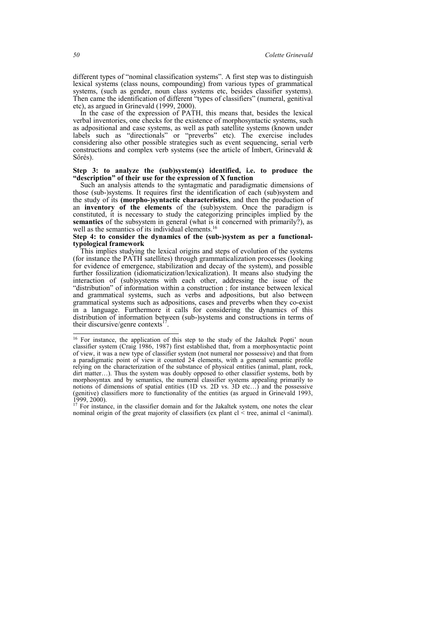different types of "nominal classification systems". A first step was to distinguish lexical systems (class nouns, compounding) from various types of grammatical systems, (such as gender, noun class systems etc, besides classifier systems). Then came the identification of different "types of classifiers" (numeral, genitival etc), as argued in Grinevald (1999, 2000).

In the case of the expression of PATH, this means that, besides the lexical verbal inventories, one checks for the existence of morphosyntactic systems, such as adpositional and case systems, as well as path satellite systems (known under labels such as "directionals" or "preverbs" etc). The exercise includes considering also other possible strategies such as event sequencing, serial verb constructions and complex verb systems (see the article of Imbert, Grinevald & Sőrés).

#### **Step 3: to analyze the (sub)system(s) identified, i.e. to produce the "description" of their use for the expression of X function**

Such an analysis attends to the syntagmatic and paradigmatic dimensions of those (sub-)systems. It requires first the identification of each (sub)system and the study of its **(morpho-)syntactic characteristics**, and then the production of an **inventory of the elements** of the (sub)system. Once the paradigm is constituted, it is necessary to study the categorizing principles implied by the **semantics** of the subsystem in general (what is it concerned with primarily?), as well as the semantics of its individual elements.<sup>16</sup>

#### **Step 4: to consider the dynamics of the (sub-)system as per a functionaltypological framework**

This implies studying the lexical origins and steps of evolution of the systems (for instance the PATH satellites) through grammaticalization processes (looking for evidence of emergence, stabilization and decay of the system), and possible further fossilization (idiomaticization/lexicalization). It means also studying the interaction of (sub)systems with each other, addressing the issue of the "distribution" of information within a construction ; for instance between lexical and grammatical systems, such as verbs and adpositions, but also between grammatical systems such as adpositions, cases and preverbs when they co-exist in a language. Furthermore it calls for considering the dynamics of this distribution of information between (sub-)systems and constructions in terms of their discursive/genre contexts $^{17}$ .

<sup>17</sup> For instance, in the classifier domain and for the Jakaltek system, one notes the clear nominal origin of the great majority of classifiers (ex plant  $cl$  < tree, animal  $cl$  <animal).

<sup>&</sup>lt;sup>16</sup> For instance, the application of this step to the study of the Jakaltek Popti' noun classifier system (Craig 1986, 1987) first established that, from a morphosyntactic point of view, it was a new type of classifier system (not numeral nor possessive) and that from a paradigmatic point of view it counted 24 elements, with a general semantic profile relying on the characterization of the substance of physical entities (animal, plant, rock, dirt matter…). Thus the system was doubly opposed to other classifier systems, both by morphosyntax and by semantics, the numeral classifier systems appealing primarily to notions of dimensions of spatial entities (1D vs. 2D vs. 3D etc…) and the possessive (genitive) classifiers more to functionality of the entities (as argued in Grinevald 1993, 1999, 2000).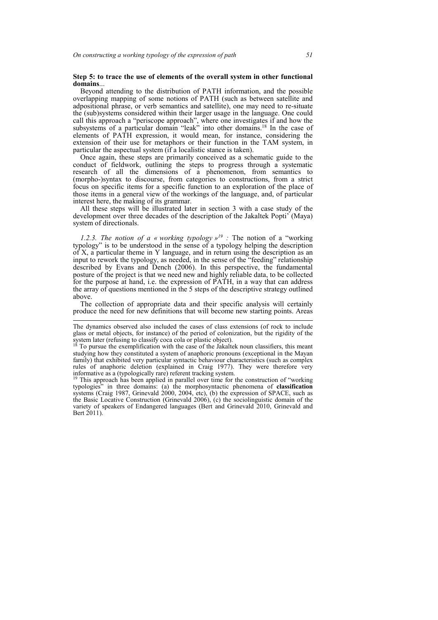### **Step 5: to trace the use of elements of the overall system in other functional domains**... Beyond attending to the distribution of PATH information, and the possible

overlapping mapping of some notions of PATH (such as between satellite and adpositional phrase, or verb semantics and satellite), one may need to re-situate the (sub)systems considered within their larger usage in the language. One could call this approach a "periscope approach", where one investigates if and how the subsystems of a particular domain "leak" into other domains.<sup>18</sup> In the case of elements of PATH expression, it would mean, for instance, considering the extension of their use for metaphors or their function in the TAM system, in particular the aspectual system (if a localistic stance is taken).

Once again, these steps are primarily conceived as a schematic guide to the conduct of fieldwork, outlining the steps to progress through a systematic research of all the dimensions of a phenomenon, from semantics to (morpho-)syntax to discourse, from categories to constructions, from a strict focus on specific items for a specific function to an exploration of the place of those items in a general view of the workings of the language, and, of particular interest here, the making of its grammar.

All these steps will be illustrated later in section 3 with a case study of the development over three decades of the description of the Jakaltek Popti' (Maya) system of directionals.

*1.2.3. The notion of a « working typology*  $v^{19}$  : The notion of a "working" typology" is to be understood in the sense of a typology helping the description of X, a particular theme in Y language, and in return using the description as an input to rework the typology, as needed, in the sense of the "feeding" relationship described by Evans and Dench (2006). In this perspective, the fundamental posture of the project is that we need new and highly reliable data, to be collected for the purpose at hand, i.e. the expression of PATH, in a way that can address the array of questions mentioned in the 5 steps of the descriptive strategy outlined above.

The collection of appropriate data and their specific analysis will certainly produce the need for new definitions that will become new starting points. Areas

 $\overline{a}$ 

typologies" in three domains: (a) the morphosyntactic phenomena of **classification**  systems (Craig 1987, Grinevald 2000, 2004, etc), (b) the expression of SPACE, such as the Basic Locative Construction (Grinevald 2006), (c) the sociolinguistic domain of the variety of speakers of Endangered languages (Bert and Grinevald 2010, Grinevald and Bert 2011).

The dynamics observed also included the cases of class extensions (of rock to include glass or metal objects, for instance) of the period of colonization, but the rigidity of the system later (refusing to classify coca cola or plastic object).

<sup>18</sup> To pursue the exemplification with the case of the Jakaltek noun classifiers, this meant studying how they constituted a system of anaphoric pronouns (exceptional in the Mayan family) that exhibited very particular syntactic behaviour characteristics (such as complex rules of anaphoric deletion (explained in Craig 1977). They were therefore very informative as a (typologically rare) referent tracking system. 19 This approach has been applied in parallel over time for the construction of "working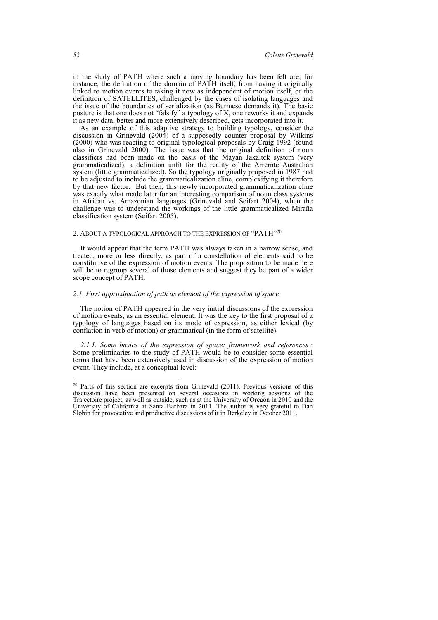in the study of PATH where such a moving boundary has been felt are, for instance, the definition of the domain of PATH itself, from having it originally linked to motion events to taking it now as independent of motion itself, or the definition of SATELLITES, challenged by the cases of isolating languages and the issue of the boundaries of serialization (as Burmese demands it). The basic posture is that one does not "falsify" a typology of X, one reworks it and expands it as new data, better and more extensively described, gets incorporated into it.

As an example of this adaptive strategy to building typology, consider the discussion in Grinevald (2004) of a supposedly counter proposal by Wilkins (2000) who was reacting to original typological proposals by Craig 1992 (found also in Grinevald 2000). The issue was that the original definition of noun classifiers had been made on the basis of the Mayan Jakaltek system (very grammaticalized), a definition unfit for the reality of the Arrernte Australian system (little grammaticalized). So the typology originally proposed in 1987 had to be adjusted to include the grammaticalization cline, complexifying it therefore by that new factor. But then, this newly incorporated grammaticalization cline was exactly what made later for an interesting comparison of noun class systems in African vs. Amazonian languages (Grinevald and Seifart 2004), when the challenge was to understand the workings of the little grammaticalized Miraña classification system (Seifart 2005).

#### 2. ABOUT A TYPOLOGICAL APPROACH TO THE EXPRESSION OF "PATH"20

It would appear that the term PATH was always taken in a narrow sense, and treated, more or less directly, as part of a constellation of elements said to be constitutive of the expression of motion events. The proposition to be made here will be to regroup several of those elements and suggest they be part of a wider scope concept of PATH.

#### *2.1. First approximation of path as element of the expression of space*

The notion of PATH appeared in the very initial discussions of the expression of motion events, as an essential element. It was the key to the first proposal of a typology of languages based on its mode of expression, as either lexical (by conflation in verb of motion) or grammatical (in the form of satellite).

*2.1.1. Some basics of the expression of space: framework and references :* Some preliminaries to the study of PATH would be to consider some essential terms that have been extensively used in discussion of the expression of motion event. They include, at a conceptual level:

 $20$  Parts of this section are excerpts from Grinevald (2011). Previous versions of this discussion have been presented on several occasions in working sessions of the Trajectoire project, as well as outside, such as at the University of Oregon in 2010 and the University of California at Santa Barbara in 2011. The author is very grateful to Dan Slobin for provocative and productive discussions of it in Berkeley in October 2011.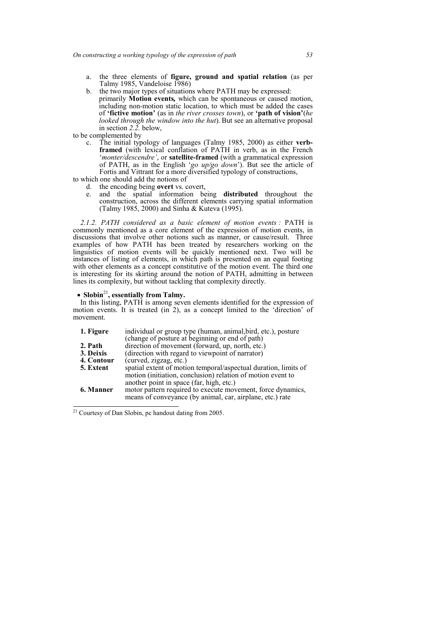- a. the three elements of **figure, ground and spatial relation** (as per Talmy 1985, Vandeloise 1986)
- b. the two major types of situations where PATH may be expressed: primarily **Motion events***,* which can be spontaneous or caused motion, including non-motion static location, to which must be added the cases of **'fictive motion'** (as in *the river crosses town*), or **'path of vision'**(*he looked through the window into the hut*). But see an alternative proposal in section *2.2.* below,

to be complemented by

c. The initial typology of languages (Talmy 1985, 2000) as either **verb-**'*monter*/descendre', or **satellite-framed** (with a grammatical expression of PATH, as in the English '*go up/go down*'). But see the article of Fortis and Vittrant for a more diversified typology of constructions,

to which one should add the notions of

- d. the encoding being **overt** vs. covert,
- e. and the spatial information being **distributed** throughout the construction, across the different elements carrying spatial information (Talmy 1985, 2000) and Sinha & Kuteva (1995).

*2.1.2. PATH considered as a basic element of motion events :* PATH is commonly mentioned as a core element of the expression of motion events, in discussions that involve other notions such as manner, or cause/result. Three examples of how PATH has been treated by researchers working on the linguistics of motion events will be quickly mentioned next. Two will be instances of listing of elements, in which path is presented on an equal footing with other elements as a concept constitutive of the motion event. The third one is interesting for its skirting around the notion of PATH, admitting in between lines its complexity, but without tackling that complexity directly.

#### • Slobin<sup>21</sup>, essentially from Talmy.

In this listing, PATH is among seven elements identified for the expression of motion events. It is treated (in 2), as a concept limited to the 'direction' of movement.

| individual or group type (human, animal, bird, etc.), posture                                                            |
|--------------------------------------------------------------------------------------------------------------------------|
| (change of posture at beginning or end of path)                                                                          |
| direction of movement (forward, up, north, etc.)                                                                         |
| (direction with regard to viewpoint of narrator)                                                                         |
| (curved, zigzag, etc.)                                                                                                   |
| spatial extent of motion temporal/aspectual duration, limits of                                                          |
| motion (initiation, conclusion) relation of motion event to                                                              |
| another point in space (far, high, etc.)                                                                                 |
| motor pattern required to execute movement, force dynamics,<br>means of conveyance (by animal, car, airplane, etc.) rate |
|                                                                                                                          |

<sup>21</sup> Courtesy of Dan Slobin, pc handout dating from 2005.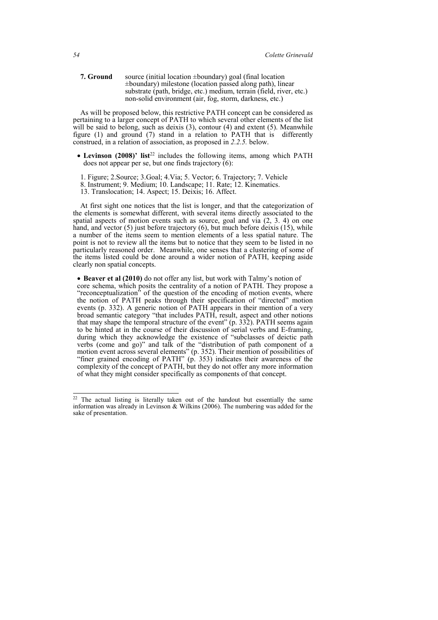#### **7. Ground** source (initial location ±boundary) goal (final location ±boundary) milestone (location passed along path), linear substrate (path, bridge, etc.) medium, terrain (field, river, etc.) non-solid environment (air, fog, storm, darkness, etc.)

As will be proposed below, this restrictive PATH concept can be considered as pertaining to a larger concept of PATH to which several other elements of the list will be said to belong, such as deixis (3), contour (4) and extent (5). Meanwhile figure (1) and ground (7) stand in a relation to PATH that is differently construed, in a relation of association, as proposed in *2.2.5.* below.

- Levinson (2008)' list<sup>22</sup> includes the following items, among which PATH does not appear per se, but one finds trajectory  $(6)$ :
- 1. Figure; 2.Source; 3.Goal; 4.Via; 5. Vector; 6. Trajectory; 7. Vehicle
- 8. Instrument; 9. Medium; 10. Landscape; 11. Rate; 12. Kinematics.
- 13. Translocation; 14. Aspect; 15. Deixis; 16. Affect.

At first sight one notices that the list is longer, and that the categorization of the elements is somewhat different, with several items directly associated to the spatial aspects of motion events such as source, goal and via (2, 3. 4) on one hand, and vector (5) just before trajectory (6), but much before deixis (15), while a number of the items seem to mention elements of a less spatial nature. The point is not to review all the items but to notice that they seem to be listed in no particularly reasoned order. Meanwhile, one senses that a clustering of some of the items listed could be done around a wider notion of PATH, keeping aside clearly non spatial concepts.

 **Beaver et al (2010)** do not offer any list, but work with Talmy's notion of core schema, which posits the centrality of a notion of PATH. They propose a "reconceptualization" of the question of the encoding of motion events, where the notion of PATH peaks through their specification of "directed" motion events (p. 332). A generic notion of PATH appears in their mention of a very broad semantic category "that includes PATH, result, aspect and other notions that may shape the temporal structure of the event" (p. 332). PATH seems again to be hinted at in the course of their discussion of serial verbs and E-framing, during which they acknowledge the existence of "subclasses of deictic path verbs (come and go)" and talk of the "distribution of path component of a motion event across several elements" (p. 352). Their mention of possibilities of "finer grained encoding of PATH" (p. 353) indicates their awareness of the complexity of the concept of PATH, but they do not offer any more information of what they might consider specifically as components of that concept.

 $22$  The actual listing is literally taken out of the handout but essentially the same information was already in Levinson & Wilkins (2006). The numbering was added for the sake of presentation.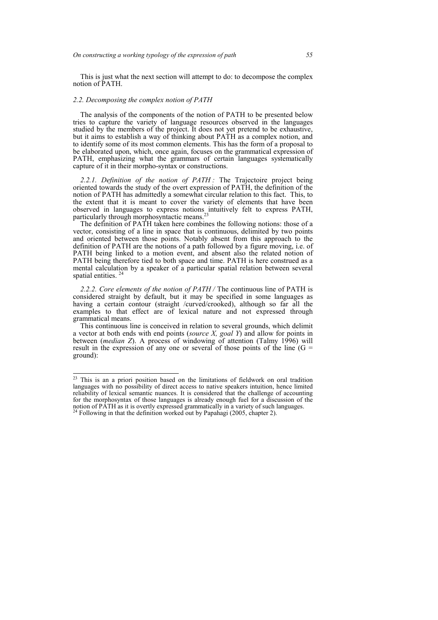This is just what the next section will attempt to do: to decompose the complex notion of PATH.

#### *2.2. Decomposing the complex notion of PATH*

The analysis of the components of the notion of PATH to be presented below tries to capture the variety of language resources observed in the languages studied by the members of the project. It does not yet pretend to be exhaustive, but it aims to establish a way of thinking about PATH as a complex notion, and to identify some of its most common elements. This has the form of a proposal to be elaborated upon, which, once again, focuses on the grammatical expression of PATH, emphasizing what the grammars of certain languages systematically capture of it in their morpho-syntax or constructions.

2.2.1. Definition of the notion of PATH : The Trajectoire project being oriented towards the study of the overt expression of PATH, the definition of the notion of PATH has admittedly a somewhat circular relation to this fact. This, to the extent that it is meant to cover the variety of elements that have been observed in languages to express notions intuitively felt to express PATH, particularly through morphosyntactic means.23

The definition of PATH taken here combines the following notions: those of a vector, consisting of a line in space that is continuous, delimited by two points and oriented between those points. Notably absent from this approach to the definition of PATH are the notions of a path followed by a figure moving, i.e. of PATH being linked to a motion event, and absent also the related notion of PATH being therefore tied to both space and time. PATH is here construed as a mental calculation by a speaker of a particular spatial relation between several spatial entities.<sup>24</sup>

*2.2.2. Core elements of the notion of PATH /* The continuous line of PATH is considered straight by default, but it may be specified in some languages as having a certain contour (straight /curved/crooked), although so far all the examples to that effect are of lexical nature and not expressed through grammatical means.

This continuous line is conceived in relation to several grounds, which delimit a vector at both ends with end points (*source X, goal Y*) and allow for points in between (*median Z*). A process of windowing of attention (Talmy 1996) will result in the expression of any one or several of those points of the line  $(G =$ ground):

<sup>&</sup>lt;sup>23</sup> This is an a priori position based on the limitations of fieldwork on oral tradition languages with no possibility of direct access to native speakers intuition, hence limited reliability of lexical semantic nuances. It is considered that the challenge of accounting for the morphosyntax of those languages is already enough fuel for a discussion of the notion of PATH as it is overtly expressed grammatically in a variety of such languages.  $^{24}$  Following in that the definition worked out by Papahagi (2005, chapter 2).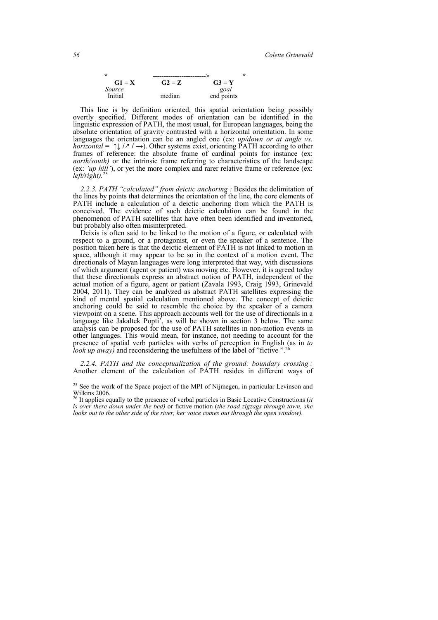

This line is by definition oriented, this spatial orientation being possibly overtly specified. Different modes of orientation can be identified in the linguistic expression of PATH, the most usual, for European languages, being the absolute orientation of gravity contrasted with a horizontal orientation. In some languages the orientation can be an angled one (ex: *up/down or at angle vs. horizontal* = *↑↓* **/***↗* **/ →**). Other systems exist, orienting PATH according to other frames of reference: the absolute frame of cardinal points for instance (ex: *north/south)* or the intrinsic frame referring to characteristics of the landscape (ex: *'up hill'*), or yet the more complex and rarer relative frame or reference (ex: *left/right).*<sup>25</sup>

*2.2.3. PATH "calculated" from deictic anchoring :* Besides the delimitation of the lines by points that determines the orientation of the line, the core elements of PATH include a calculation of a deictic anchoring from which the PATH is conceived. The evidence of such deictic calculation can be found in the phenomenon of PATH satellites that have often been identified and inventoried, but probably also often misinterpreted.

Deixis is often said to be linked to the motion of a figure, or calculated with respect to a ground, or a protagonist, or even the speaker of a sentence. The position taken here is that the deictic element of PATH is not linked to motion in space, although it may appear to be so in the context of a motion event. The directionals of Mayan languages were long interpreted that way, with discussions of which argument (agent or patient) was moving etc. However, it is agreed today that these directionals express an abstract notion of PATH, independent of the actual motion of a figure, agent or patient (Zavala 1993, Craig 1993, Grinevald 2004, 2011). They can be analyzed as abstract PATH satellites expressing the kind of mental spatial calculation mentioned above. The concept of deictic anchoring could be said to resemble the choice by the speaker of a camera viewpoint on a scene. This approach accounts well for the use of directionals in a language like Jakaltek Popti<sup>'</sup>, as will be shown in section 3 below. The same analysis can be proposed for the use of PATH satellites in non-motion events in other languages. This would mean, for instance, not needing to account for the presence of spatial verb particles with verbs of perception in English (as in *to look up away*) and reconsidering the usefulness of the label of "fictive"

*2.2.4. PATH and the conceptualization of the ground: boundary crossing :* Another element of the calculation of PATH resides in different ways of

<sup>&</sup>lt;sup>25</sup> See the work of the Space project of the MPI of Nijmegen, in particular Levinson and Wilkins 2006.

<sup>&</sup>lt;sup>26</sup> It applies equally to the presence of verbal particles in Basic Locative Constructions (*it is over there down under the bed)* or fictive motion (*the road zigzags through town, she looks out to the other side of the river, her voice comes out through the open window).*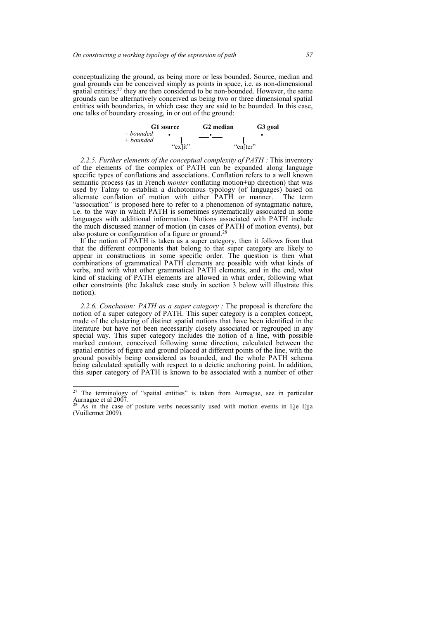conceptualizing the ground, as being more or less bounded. Source, median and goal grounds can be conceived simply as points in space, i.e. as non-dimensional spatial entities; $27$  they are then considered to be non-bounded. However, the same grounds can be alternatively conceived as being two or three dimensional spatial entities with boundaries, in which case they are said to be bounded. In this case, one talks of boundary crossing, in or out of the ground:



*2.2.5. Further elements of the conceptual complexity of PATH :* This inventory of the elements of the complex of PATH can be expanded along language specific types of conflations and associations. Conflation refers to a well known semantic process (as in French *monter* conflating motion+up direction) that was used by Talmy to establish a dichotomous typology (of languages) based on alternate conflation of motion with either PATH or manner. The term "association" is proposed here to refer to a phenomenon of syntagmatic nature, i.e. to the way in which PATH is sometimes systematically associated in some languages with additional information. Notions associated with PATH include the much discussed manner of motion (in cases of PATH of motion events), but also posture or configuration of a figure or ground.<sup>28</sup>

If the notion of PATH is taken as a super category, then it follows from that that the different components that belong to that super category are likely to appear in constructions in some specific order. The question is then what combinations of grammatical PATH elements are possible with what kinds of verbs, and with what other grammatical PATH elements, and in the end, what kind of stacking of PATH elements are allowed in what order, following what other constraints (the Jakaltek case study in section 3 below will illustrate this notion).

*2.2.6. Conclusion: PATH as a super category :* The proposal is therefore the notion of a super category of PATH. This super category is a complex concept, made of the clustering of distinct spatial notions that have been identified in the literature but have not been necessarily closely associated or regrouped in any special way. This super category includes the notion of a line, with possible marked contour, conceived following some direction, calculated between the spatial entities of figure and ground placed at different points of the line, with the ground possibly being considered as bounded, and the whole PATH schema being calculated spatially with respect to a deictic anchoring point. In addition, this super category of PATH is known to be associated with a number of other

<sup>&</sup>lt;sup>27</sup> The terminology of "spatial entities" is taken from Aurnague, see in particular Aurnague et al 2007.

 $28$  As in the case of posture verbs necessarily used with motion events in Eje Ejja (Vuillermet 2009).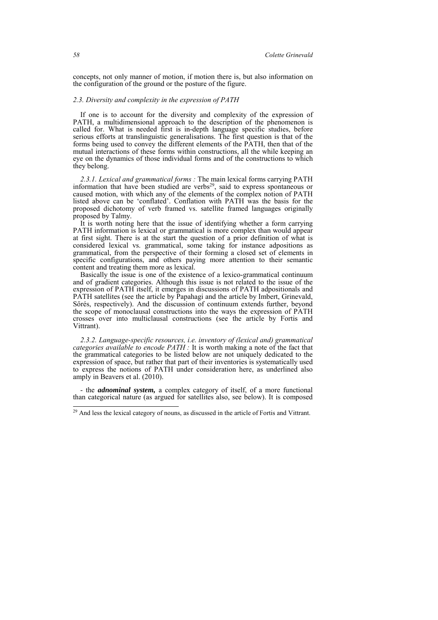concepts, not only manner of motion, if motion there is, but also information on the configuration of the ground or the posture of the figure.

#### *2.3. Diversity and complexity in the expression of PATH*

If one is to account for the diversity and complexity of the expression of PATH, a multidimensional approach to the description of the phenomenon is called for. What is needed first is in-depth language specific studies, before serious efforts at translinguistic generalisations. The first question is that of the forms being used to convey the different elements of the PATH, then that of the mutual interactions of these forms within constructions, all the while keeping an eye on the dynamics of those individual forms and of the constructions to which they belong.

*2.3.1. Lexical and grammatical forms :* The main lexical forms carrying PATH information that have been studied are verbs<sup>29</sup>, said to express spontaneous or caused motion, with which any of the elements of the complex notion of PATH listed above can be 'conflated'. Conflation with PATH was the basis for the proposed dichotomy of verb framed vs. satellite framed languages originally proposed by Talmy.

It is worth noting here that the issue of identifying whether a form carrying PATH information is lexical or grammatical is more complex than would appear at first sight. There is at the start the question of a prior definition of what is considered lexical vs. grammatical, some taking for instance adpositions as grammatical, from the perspective of their forming a closed set of elements in specific configurations, and others paying more attention to their semantic content and treating them more as lexical.

Basically the issue is one of the existence of a lexico-grammatical continuum and of gradient categories. Although this issue is not related to the issue of the expression of PATH itself, it emerges in discussions of PATH adpositionals and PATH satellites (see the article by Papahagi and the article by Imbert, Grinevald, Sőrés, respectively). And the discussion of continuum extends further, beyond the scope of monoclausal constructions into the ways the expression of PATH crosses over into multiclausal constructions (see the article by Fortis and Vittrant).

*2.3.2. Language-specific resources, i.e. inventory of (lexical and) grammatical categories available to encode PATH :* It is worth making a note of the fact that the grammatical categories to be listed below are not uniquely dedicated to the expression of space, but rather that part of their inventories is systematically used to express the notions of PATH under consideration here, as underlined also amply in Beavers et al. (2010).

- the *adnominal system,* a complex category of itself, of a more functional than categorical nature (as argued for satellites also, see below). It is composed

<sup>&</sup>lt;sup>29</sup> And less the lexical category of nouns, as discussed in the article of Fortis and Vittrant.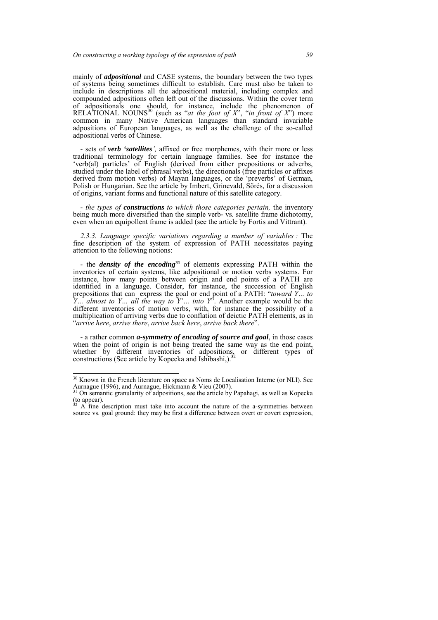mainly of *adpositional* and CASE systems, the boundary between the two types of systems being sometimes difficult to establish. Care must also be taken to include in descriptions all the adpositional material, including complex and compounded adpositions often left out of the discussions. Within the cover term of adpositionals one should, for instance, include the phenomenon of RELATIONAL NOUNS<sup>30</sup> (such as "*at the foot of X*", "*in front of X*") more common in many Native American languages than standard invariable adpositions of European languages, as well as the challenge of the so-called adpositional verbs of Chinese.

- sets of *verb 'satellites',* affixed or free morphemes, with their more or less traditional terminology for certain language families. See for instance the 'verb(al) particles' of English (derived from either prepositions or adverbs, studied under the label of phrasal verbs), the directionals (free particles or affixes derived from motion verbs) of Mayan languages, or the 'preverbs' of German, Polish or Hungarian. See the article by Imbert, Grinevald, Sőrés, for a discussion of origins, variant forms and functional nature of this satellite category.

- *the types of constructions to which those categories pertain,* the inventory being much more diversified than the simple verb- vs. satellite frame dichotomy, even when an equipollent frame is added (see the article by Fortis and Vittrant).

*2.3.3. Language specific variations regarding a number of variables :* The fine description of the system of expression of PATH necessitates paying attention to the following notions:

- the *density of the encoding***<sup>31</sup>** of elements expressing PATH within the inventories of certain systems, like adpositional or motion verbs systems. For instance, how many points between origin and end points of a PATH are identified in a language. Consider, for instance, the succession of English prepositions that can express the goal or end point of a PATH: "*toward Y… to Y… almost to Y… all the way to Y'… into Y*". Another example would be the different inventories of motion verbs, with, for instance the possibility of a multiplication of arriving verbs due to conflation of deictic PATH elements, as in "*arrive here*, *arrive there*, *arrive back here*, *arrive back there*".

- a rather common *a-symmetry of encoding of source and goal*, in those cases when the point of origin is not being treated the same way as the end point, whether by different inventories of adpositions, or different types of constructions (See article by Kopecka and Ishibashi,). $^{32}$ 

<sup>&</sup>lt;sup>30</sup> Known in the French literature on space as Noms de Localisation Interne (or NLI). See Aurnague (1996), and Aurnague, Hickmann & Vieu (2007).

<sup>&</sup>lt;sup>31</sup> On semantic granularity of adpositions, see the article by Papahagi, as well as Kopecka (to appear).

 $32$  A fine description must take into account the nature of the a-symmetries between source vs. goal ground: they may be first a difference between overt or covert expression,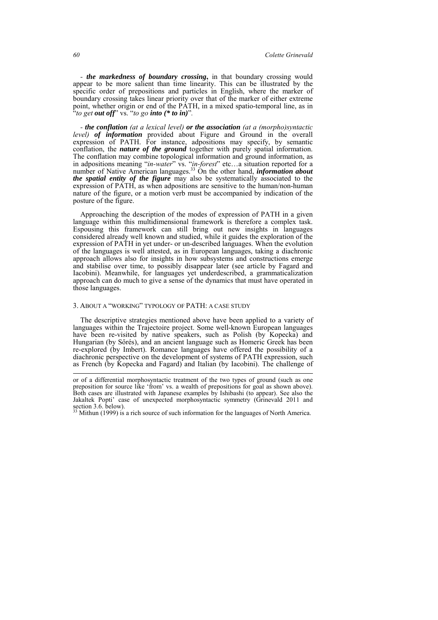*- the markedness of boundary crossing***,** in that boundary crossing would appear to be more salient than time linearity. This can be illustrated by the specific order of prepositions and particles in English, where the marker of boundary crossing takes linear priority over that of the marker of either extreme point, whether origin or end of the PATH, in a mixed spatio-temporal line, as in  $\frac{a}{b}$  *to get out off*  $\frac{b}{b}$  vs. "*to go into (\* to in)*".

*- the conflation (at a lexical level) or the association (at a (morpho)syntactic level) of information* provided about Figure and Ground in the overall expression of PATH. For instance, adpositions may specify, by semantic conflation, the *nature of the ground* together with purely spatial information. The conflation may combine topological information and ground information, as in adpositions meaning "*in-water*" vs. "*in-forest*" etc…a situation reported for a number of Native American languages.<sup>33</sup> On the other hand, *information about the spatial entity of the figure* may also be systematically associated to the expression of PATH, as when adpositions are sensitive to the human/non-human nature of the figure, or a motion verb must be accompanied by indication of the posture of the figure.

Approaching the description of the modes of expression of PATH in a given language within this multidimensional framework is therefore a complex task. Espousing this framework can still bring out new insights in languages considered already well known and studied, while it guides the exploration of the expression of PATH in yet under- or un-described languages. When the evolution of the languages is well attested, as in European languages, taking a diachronic approach allows also for insights in how subsystems and constructions emerge and stabilise over time, to possibly disappear later (see article by Fagard and Iacobini). Meanwhile, for languages yet underdescribed, a grammaticalization approach can do much to give a sense of the dynamics that must have operated in those languages.

#### 3. ABOUT A "WORKING" TYPOLOGY OF PATH: A CASE STUDY

The descriptive strategies mentioned above have been applied to a variety of languages within the Trajectoire project. Some well-known European languages have been re-visited by native speakers, such as Polish (by Kopecka) and Hungarian (by Sőrés), and an ancient language such as Homeric Greek has been re-explored (by Imbert). Romance languages have offered the possibility of a diachronic perspective on the development of systems of PATH expression, such as French (by Kopecka and Fagard) and Italian (by Iacobini). The challenge of

-

or of a differential morphosyntactic treatment of the two types of ground (such as one preposition for source like 'from' vs. a wealth of prepositions for goal as shown above). Both cases are illustrated with Japanese examples by Ishibashi (to appear). See also the Jakaltek Popti' case of unexpected morphosyntactic symmetry (Grinevald 2011 and section 3.6. below).

 $33$  Mithun (1999) is a rich source of such information for the languages of North America.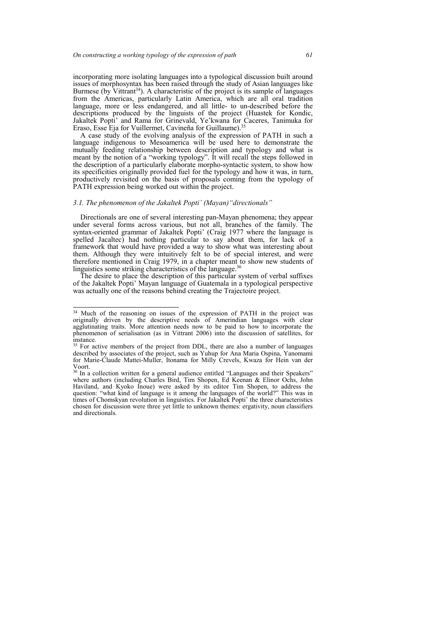incorporating more isolating languages into a typological discussion built around issues of morphosyntax has been raised through the study of Asian languages like Burmese (by Vittrant<sup>34</sup>). A characteristic of the project is its sample of languages from the Americas, particularly Latin America, which are all oral tradition language, more or less endangered, and all little- to un-described before the descriptions produced by the linguists of the project (Huastek for Kondic, Jakaltek Popti' and Rama for Grinevald, Ye'kwana for Caceres, Tanimuka for Eraso, Esse Eja for Vuillermet, Cavineña for Guillaume).<sup>35</sup>

A case study of the evolving analysis of the expression of PATH in such a language indigenous to Mesoamerica will be used here to demonstrate the mutually feeding relationship between description and typology and what is meant by the notion of a "working typology". It will recall the steps followed in the description of a particularly elaborate morpho-syntactic system, to show how its specificities originally provided fuel for the typology and how it was, in turn, productively revisited on the basis of proposals coming from the typology of PATH expression being worked out within the project.

#### *3.1. The phenomenon of the Jakaltek Popti' (Mayan)"directionals"*

l

Directionals are one of several interesting pan-Mayan phenomena; they appear under several forms across various, but not all, branches of the family. The syntax-oriented grammar of Jakaltek Popti' (Craig 1977 where the language is spelled Jacaltec) had nothing particular to say about them, for lack of a framework that would have provided a way to show what was interesting about them. Although they were intuitively felt to be of special interest, and were therefore mentioned in Craig 1979, in a chapter meant to show new students of linguistics some striking characteristics of the language.<sup>36</sup>

The desire to place the description of this particular system of verbal suffixes of the Jakaltek Popti' Mayan language of Guatemala in a typological perspective was actually one of the reasons behind creating the Trajectoire project.

<sup>&</sup>lt;sup>34</sup> Much of the reasoning on issues of the expression of PATH in the project was originally driven by the descriptive needs of Amerindian languages with clear agglutinating traits. More attention needs now to be paid to how to incorporate the phenomenon of serialisation (as in Vittrant 2006) into the discussion of satellites, for instance.

<sup>&</sup>lt;sup>35</sup> For active members of the project from DDL, there are also a number of languages described by associates of the project, such as Yuhup for Ana Maria Ospina, Yanomami for Marie-Claude Mattei-Muller, Itonama for Milly Crevels, Kwaza for Hein van der Voort.

<sup>&</sup>lt;sup>36</sup> In a collection written for a general audience entitled "Languages and their Speakers" where authors (including Charles Bird, Tim Shopen, Ed Keenan & Elinor Ochs, John Haviland, and Kyoko Inoue) were asked by its editor Tim Shopen, to address the question: "what kind of language is it among the languages of the world?" This was in times of Chomskyan revolution in linguistics. For Jakaltek Popti' the three characteristics chosen for discussion were three yet little to unknown themes: ergativity, noun classifiers and directionals.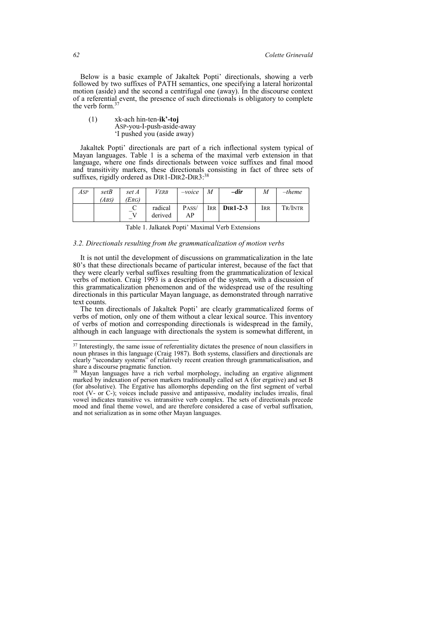Below is a basic example of Jakaltek Popti' directionals, showing a verb followed by two suffixes of PATH semantics, one specifying a lateral horizontal motion (aside) and the second a centrifugal one (away). In the discourse context of a referential event, the presence of such directionals is obligatory to complete the verb form.<sup>37</sup>

(1) xk-ach hin-ten-**ik'-toj** ASP-you-I-push-aside-away 'I pushed you (aside away)

Jakaltek Popti' directionals are part of a rich inflectional system typical of Mayan languages. Table 1 is a schema of the maximal verb extension in that language, where one finds directionals between voice suffixes and final mood and transitivity markers, these directionals consisting in fact of three sets of suffixes, rigidly ordered as DIR1-DIR2-DIR3:<sup>38</sup>

| ASP | setB<br>(Abs) | set A<br>(Erg | Verb               | $-voice$                 | M   | $-dir$     | M   | $-theme$ |
|-----|---------------|---------------|--------------------|--------------------------|-----|------------|-----|----------|
|     |               |               | radical<br>derived | P <sub>ASS</sub> /<br>AP | Irr | $DIR1-2-3$ | Irr | TR/INTR  |

Table 1. Jalkatek Popti' Maximal Verb Extensions

#### *3.2. Directionals resulting from the grammaticalization of motion verbs*

It is not until the development of discussions on grammaticalization in the late 80's that these directionals became of particular interest, because of the fact that they were clearly verbal suffixes resulting from the grammaticalization of lexical verbs of motion. Craig 1993 is a description of the system, with a discussion of this grammaticalization phenomenon and of the widespread use of the resulting directionals in this particular Mayan language, as demonstrated through narrative text counts.

The ten directionals of Jakaltek Popti' are clearly grammaticalized forms of verbs of motion, only one of them without a clear lexical source. This inventory of verbs of motion and corresponding directionals is widespread in the family, although in each language with directionals the system is somewhat different, in

<sup>&</sup>lt;sup>37</sup> Interestingly, the same issue of referentiality dictates the presence of noun classifiers in noun phrases in this language (Craig 1987). Both systems, classifiers and directionals are clearly "secondary systems" of relatively recent creation through grammaticalisation, and share a discourse pragmatic function.

Mayan languages have a rich verbal morphology, including an ergative alignment marked by indexation of person markers traditionally called set A (for ergative) and set B (for absolutive). The Ergative has allomorphs depending on the first segment of verbal root (V- or C-); voices include passive and antipassive, modality includes irrealis, final vowel indicates transitive vs. intransitive verb complex. The sets of directionals precede mood and final theme vowel, and are therefore considered a case of verbal suffixation, and not serialization as in some other Mayan languages.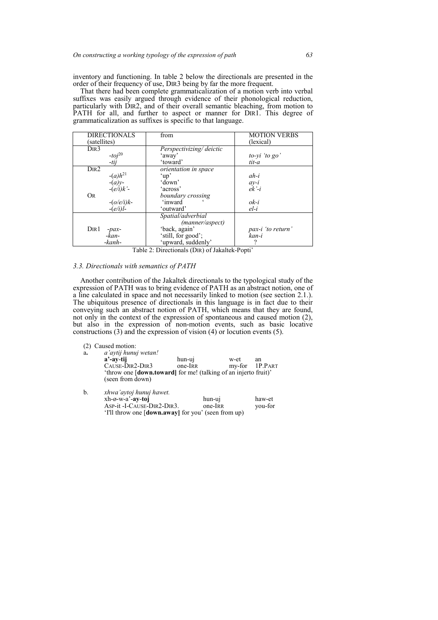inventory and functioning. In table 2 below the directionals are presented in the order of their frequency of use, DIR3 being by far the more frequent.

That there had been complete grammaticalization of a motion verb into verbal suffixes was easily argued through evidence of their phonological reduction, particularly with DIR2, and of their overall semantic bleaching, from motion to PATH for all, and further to aspect or manner for DIR1. This degree of grammaticalization as suffixes is specific to that language.

| <b>DIRECTIONALS</b>    | from                    | <b>MOTION VERBS</b> |
|------------------------|-------------------------|---------------------|
| (satellites)           |                         | (lexical)           |
| DIR3                   | Perspectivizing/deictic |                     |
| $-toj^{20}$<br>-tij    | 'away'                  | $to$ -vi 'to go'    |
|                        | 'toward'                | tit-a               |
| $_{\rm DIR2}$          | orientation in space    |                     |
| $-(a)h^{21}$           | $\mu$ <sup>'</sup>      | $ah-i$              |
| $-(a)y-$               | 'down'                  | $ay-i$              |
| $-(e/i)k'$             | 'across'                | $ek'-i$             |
| <b>OR</b>              | boundary crossing       |                     |
| $-(o/e/i)k - (e/i)l -$ | 'inward                 | ok-i                |
|                        | 'outward'               | $el-i$              |
|                        | Spatial/adverbial       |                     |
|                        | (manner/aspect)         |                     |
| DIR1<br>$-pax-$        | 'back, again'           | pax-i 'to return'   |
| -kan-                  | 'still, for good';      | kan-i               |
| -kanh-                 | 'upward, suddenly'      |                     |

Table 2: Directionals (DIR) of Jakaltek-Popti'

#### *3.3. Directionals with semantics of PATH*

Another contribution of the Jakaltek directionals to the typological study of the expression of PATH was to bring evidence of PATH as an abstract notion, one of a line calculated in space and not necessarily linked to motion (see section 2.1.). The ubiquitous presence of directionals in this language is in fact due to their conveying such an abstract notion of PATH, which means that they are found, not only in the context of the expression of spontaneous and caused motion (2), but also in the expression of non-motion events, such as basic locative constructions (3) and the expression of vision (4) or locution events (5).

(2) Caused motion:

| a. | a'aytij hunuj wetan!                                                                         |         |      |                |
|----|----------------------------------------------------------------------------------------------|---------|------|----------------|
|    | a'-av-tii                                                                                    | hun-ui  | w-et | an             |
|    | CAUSE-DIR2-DIR3                                                                              | one-IRR |      | my-for 1P.PART |
|    | 'throw one [ <b>down.toward</b> ] for me! (talking of an injerto fruit)'<br>(seen from down) |         |      |                |

b. *xhwa'aytoj hunuj hawet.* xh-ø-w-a<sup>3</sup>-**ay-toj** hun-uj haw-et<br>Asp-it -I-CAUSE-DIR2-DIR3. one-IRR you-for ASP-it -I-CAUSE-DIR2-DIR3. 'I'll throw one [**down.away]** for you' (seen from up)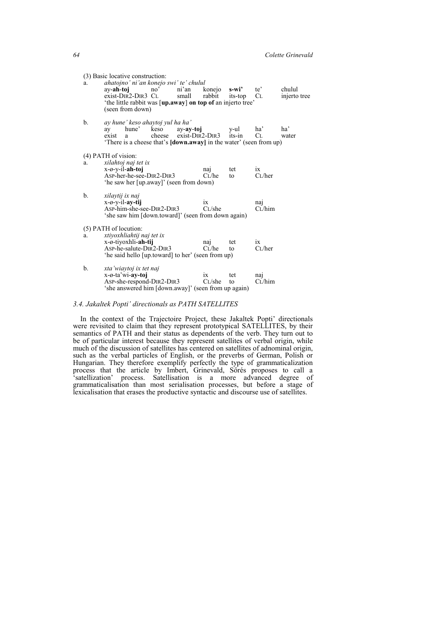|    | (3) Basic locative construction:                                                                                                                                                                          |                           |                  |                       |                        |
|----|-----------------------------------------------------------------------------------------------------------------------------------------------------------------------------------------------------------|---------------------------|------------------|-----------------------|------------------------|
| a. | ahatojno' ni'an konejo swi' te' chulul<br>ni'an<br>ay- <b>ah-toj</b><br>no <sup>3</sup><br>exist-DIR2-DIR3 CL<br>small<br>'the little rabbit was [up.away] on top of an injerto tree'<br>(seen from down) | konejo<br>rabbit          | s-wi'<br>its-top | te'<br>C <sub>L</sub> | chulul<br>injerto tree |
| b. | ay hune' keso ahaytoj yul ha ha'<br>hune' keso<br>ay- <b>ay-toj</b><br>ay<br>cheese<br>$exist-DIR2-DIR3$<br>exist<br>a<br>There is a cheese that's <b>[down.away]</b> in the water' (seen from up)        |                           | y-ul<br>its-in   | ha'<br>CL             | ha'<br>water           |
| a. | $(4)$ PATH of vision:<br>xilahtoj naj tet ix<br>x-ø-y-il-ah-toj<br>Asp-her-he-see-DIR2-DIR3<br>'he saw her [up.away]' (seen from down)                                                                    | naj<br>CL/he              | tet<br>to        | ix<br>CL/her          |                        |
| b. | xilaytij ix naj<br>x-ø-y-il-ay-tij<br>Asp-him-she-see-DIR2-DIR3<br>'she saw him [down.toward]' (seen from down again)                                                                                     | ix<br>CL/she              |                  | naj<br>CL/him         |                        |
| a. | $(5)$ PATH of locution:<br>xtiyoxhliahtij naj tet ix<br>x-ø-tiyoxhli-ah-tij<br>Asp-he-salute-DIR2-DIR3<br>'he said hello [up.toward] to her' (seen from up)                                               | naj<br>CL/he              | tet<br>to        | ix<br>CL/her          |                        |
| b. | xta'wiaytoj ix tet naj<br>x-ø-ta'wi-ay-toj<br>Asp-she-respond-DIR2-DIR3<br>'she answered him [down.away]' (seen from up again)                                                                            | 1X<br>C <sub>I</sub> /she | tet<br>to        | na<br>CL/him          |                        |

#### *3.4. Jakaltek Popti' directionals as PATH SATELLITES*

In the context of the Trajectoire Project, these Jakaltek Popti' directionals were revisited to claim that they represent prototypical SATELLITES, by their semantics of PATH and their status as dependents of the verb. They turn out to be of particular interest because they represent satellites of verbal origin, while much of the discussion of satellites has centered on satellites of adnominal origin, such as the verbal particles of English, or the preverbs of German, Polish or Hungarian. They therefore exemplify perfectly the type of grammaticalization process that the article by Imbert, Grinevald, Sőrés proposes to call a <sup>3</sup> satellization' process. Satellisation is a more advanced degree of grammaticalisation than most serialisation processes, but before a stage of lexicalisation that erases the productive syntactic and discourse use of satellites.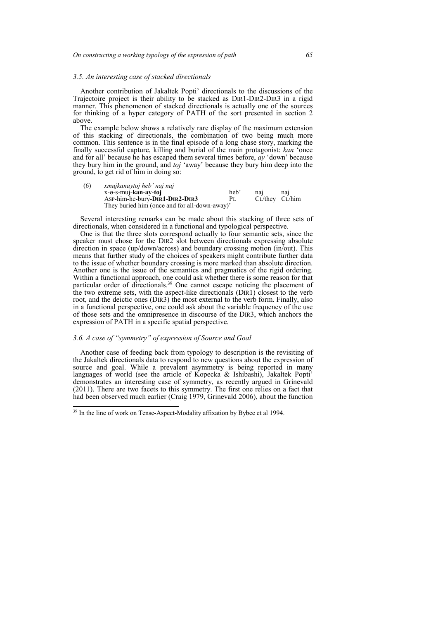#### *3.5. An interesting case of stacked directionals*

Another contribution of Jakaltek Popti' directionals to the discussions of the Trajectoire project is their ability to be stacked as DIR1-DIR2-DIR3 in a rigid manner. This phenomenon of stacked directionals is actually one of the sources for thinking of a hyper category of PATH of the sort presented in section 2 above.

The example below shows a relatively rare display of the maximum extension of this stacking of directionals, the combination of two being much more common. This sentence is in the final episode of a long chase story, marking the finally successful capture, killing and burial of the main protagonist: *kan* 'once and for all' because he has escaped them several times before, *ay* 'down' because they bury him in the ground, and *toj* 'away' because they bury him deep into the ground, to get rid of him in doing so:

| (6) | xmujkanaytoj heb' naj naj                       |     |                      |     |
|-----|-------------------------------------------------|-----|----------------------|-----|
|     | $x$ - $\emptyset$ - $s$ -muj- <b>kan-av-toj</b> | heb | nai                  | nai |
|     | Asp-him-he-bury-DIR1-DIR2-DIR3                  | Pт  | $CL/$ they $CL/$ him |     |
|     | They buried him (once and for all-down-away)'   |     |                      |     |

Several interesting remarks can be made about this stacking of three sets of directionals, when considered in a functional and typological perspective.

One is that the three slots correspond actually to four semantic sets, since the speaker must chose for the DIR2 slot between directionals expressing absolute direction in space (up/down/across) and boundary crossing motion (in/out). This means that further study of the choices of speakers might contribute further data to the issue of whether boundary crossing is more marked than absolute direction. Another one is the issue of the semantics and pragmatics of the rigid ordering. Within a functional approach, one could ask whether there is some reason for that particular order of directionals.<sup>39</sup> One cannot escape noticing the placement of the two extreme sets, with the aspect-like directionals (DIR1) closest to the verb root, and the deictic ones (DIR3) the most external to the verb form. Finally, also in a functional perspective, one could ask about the variable frequency of the use of those sets and the omnipresence in discourse of the DIR3, which anchors the expression of PATH in a specific spatial perspective.

#### *3.6. A case of "symmetry" of expression of Source and Goal*

l

Another case of feeding back from typology to description is the revisiting of the Jakaltek directionals data to respond to new questions about the expression of source and goal. While a prevalent asymmetry is being reported in many languages of world (see the article of Kopecka & Ishibashi), Jakaltek Popti<sup>'</sup> demonstrates an interesting case of symmetry, as recently argued in Grinevald (2011). There are two facets to this symmetry. The first one relies on a fact that had been observed much earlier (Craig 1979, Grinevald 2006), about the function

<sup>&</sup>lt;sup>39</sup> In the line of work on Tense-Aspect-Modality affixation by Bybee et al 1994.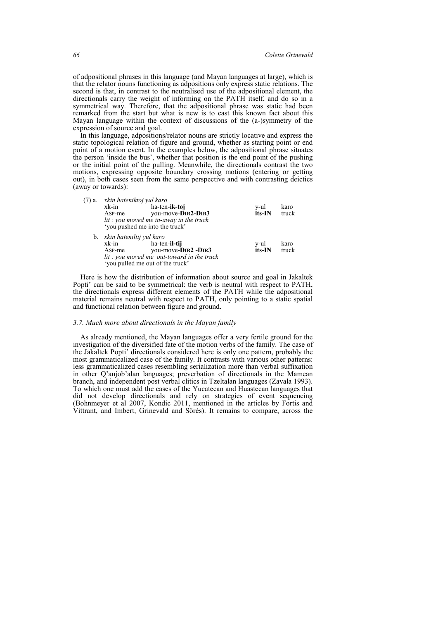of adpositional phrases in this language (and Mayan languages at large), which is that the relator nouns functioning as adpositions only express static relations. The second is that, in contrast to the neutralised use of the adpositional element, the directionals carry the weight of informing on the PATH itself, and do so in a symmetrical way. Therefore, that the adpositional phrase was static had been remarked from the start but what is new is to cast this known fact about this Mayan language within the context of discussions of the (a-)symmetry of the expression of source and goal.

In this language, adpositions/relator nouns are strictly locative and express the static topological relation of figure and ground, whether as starting point or end point of a motion event. In the examples below, the adpositional phrase situates the person 'inside the bus', whether that position is the end point of the pushing or the initial point of the pulling. Meanwhile, the directionals contrast the two motions, expressing opposite boundary crossing motions (entering or getting out), in both cases seen from the same perspective and with contrasting deictics (away or towards):

| $(7)$ a. | xkin hateniktoj yul karo |                                             |        |       |
|----------|--------------------------|---------------------------------------------|--------|-------|
|          | xk-in                    | ha-ten-ik-toj                               | y-ul   | karo  |
|          | Asp-me                   | you-move-DIR2-DIR3                          | its-IN | truck |
|          |                          | $lit: you moved me in-away in the truck$    |        |       |
|          |                          | 'you pushed me into the truck'              |        |       |
| b.       | xkin hateniltij yul karo |                                             |        |       |
|          | xk-in                    | ha-ten-il-tij                               | y-ul   | karo  |
|          | Asp-me                   | you-move-DIR2 -DIR3                         | its-IN | truck |
|          |                          | $lit: you moved me out-toward in the truck$ |        |       |
|          |                          | 'you pulled me out of the truck'            |        |       |

Here is how the distribution of information about source and goal in Jakaltek Popti' can be said to be symmetrical: the verb is neutral with respect to PATH, the directionals express different elements of the PATH while the adpositional material remains neutral with respect to PATH, only pointing to a static spatial and functional relation between figure and ground.

#### *3.7. Much more about directionals in the Mayan family*

As already mentioned, the Mayan languages offer a very fertile ground for the investigation of the diversified fate of the motion verbs of the family. The case of the Jakaltek Popti' directionals considered here is only one pattern, probably the most grammaticalized case of the family. It contrasts with various other patterns: less grammaticalized cases resembling serialization more than verbal suffixation in other Q'anjob'alan languages; preverbation of directionals in the Mamean branch, and independent post verbal clitics in Tzeltalan languages (Zavala 1993). To which one must add the cases of the Yucatecan and Huastecan languages that did not develop directionals and rely on strategies of event sequencing (Bohnmeyer et al 2007, Kondic 2011, mentioned in the articles by Fortis and Vittrant, and Imbert, Grinevald and Sőrés). It remains to compare, across the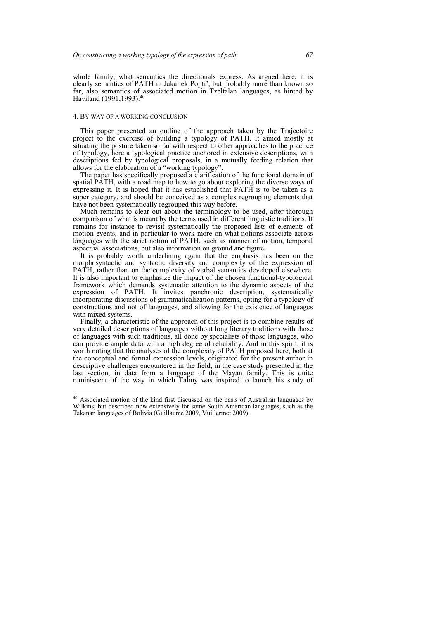whole family, what semantics the directionals express. As argued here, it is clearly semantics of PATH in Jakaltek Popti', but probably more than known so far, also semantics of associated motion in Tzeltalan languages, as hinted by Haviland (1991,1993).<sup>40</sup>

#### 4. BY WAY OF A WORKING CONCLUSION

l

This paper presented an outline of the approach taken by the Trajectoire project to the exercise of building a typology of PATH. It aimed mostly at situating the posture taken so far with respect to other approaches to the practice of typology, here a typological practice anchored in extensive descriptions, with descriptions fed by typological proposals, in a mutually feeding relation that allows for the elaboration of a "working typology".

The paper has specifically proposed a clarification of the functional domain of spatial PATH, with a road map to how to go about exploring the diverse ways of expressing it. It is hoped that it has established that PATH is to be taken as a super category, and should be conceived as a complex regrouping elements that have not been systematically regrouped this way before.

Much remains to clear out about the terminology to be used, after thorough comparison of what is meant by the terms used in different linguistic traditions. It remains for instance to revisit systematically the proposed lists of elements of motion events, and in particular to work more on what notions associate across languages with the strict notion of PATH, such as manner of motion, temporal aspectual associations, but also information on ground and figure.

It is probably worth underlining again that the emphasis has been on the morphosyntactic and syntactic diversity and complexity of the expression of PATH, rather than on the complexity of verbal semantics developed elsewhere. It is also important to emphasize the impact of the chosen functional-typological framework which demands systematic attention to the dynamic aspects of the expression of PATH. It invites panchronic description, systematically incorporating discussions of grammaticalization patterns, opting for a typology of constructions and not of languages, and allowing for the existence of languages with mixed systems.

Finally, a characteristic of the approach of this project is to combine results of very detailed descriptions of languages without long literary traditions with those of languages with such traditions, all done by specialists of those languages, who can provide ample data with a high degree of reliability. And in this spirit, it is worth noting that the analyses of the complexity of PATH proposed here, both at the conceptual and formal expression levels, originated for the present author in descriptive challenges encountered in the field, in the case study presented in the last section, in data from a language of the Mayan family. This is quite reminiscent of the way in which Talmy was inspired to launch his study of

<sup>&</sup>lt;sup>40</sup> Associated motion of the kind first discussed on the basis of Australian languages by Wilkins, but described now extensively for some South American languages, such as the Takanan languages of Bolivia (Guillaume 2009, Vuillermet 2009).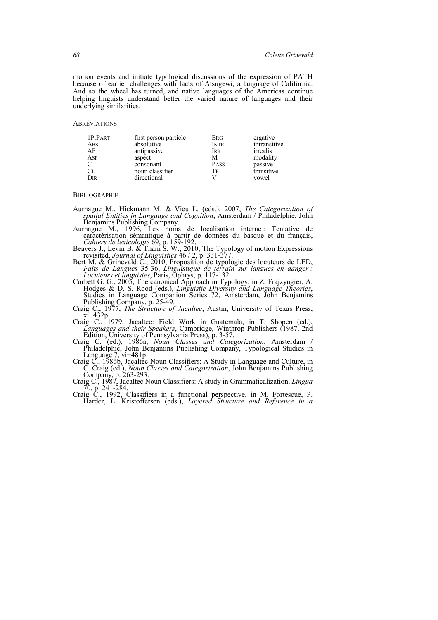motion events and initiate typological discussions of the expression of PATH because of earlier challenges with facts of Atsugewi, a language of California. And so the wheel has turned, and native languages of the Americas continue helping linguists understand better the varied nature of languages and their underlying similarities.

#### ABRÉVIATIONS

| 1P.PART | first person particle | Erg         | ergative     |
|---------|-----------------------|-------------|--------------|
| ABS     | absolutive            | <b>INTR</b> | intransitive |
| AP      | antipassive           | Irr         | irrealis     |
| ASP     | aspect                | M           | modality     |
| C       | consonant             | <b>PASS</b> | passive      |
| СL      | noun classifier       | Tr          | transitive   |
| DIR     | directional           |             | vowel        |

#### BIBLIOGRAPHIE

- Aurnague M., Hickmann M. & Vieu L. (eds.), 2007, *The Categorization of spatial Entities in Language and Cognition*, Amsterdam / Philadelphie, John Benjamins Publishing Company.<br>Aurnague M., 1996, Les noms de localisation
- 
- 
- Cahiers de lexicologie 69, p. 159-192.<br>
Beavers J., Levin B. & Tham S. W., 2010, The Typology of motion Expressions<br>
revisited, Journal of Linguistics 46 / 2, p. 331-377.<br>
Bert M. & Grinevald C., 2010, Proposition de typo
- 
- 
- Studies in Language Companion Series 72, Amsterdam, John Benjamins<br>
Publishing Company, p. 25-49.<br>
Craig C., 1977, *The Structure of Jacaltec*, Austin, University of Texas Press,<br>
xi+432p.<br>
Craig C., 1979, Jacaltec: Field
- Philadelphie, John Benjamins Publishing Company, Typological Studies in
- Language 7, vi+481p. Craig C., 1986b, Jacaltec Noun Classifiers: A Study in Language and Culture, in C. Craig (ed.), *Noun Classes and Categorization*, John Benjamins Publishing Company, p. 263-293. Craig C., 1987, Jacaltec Noun Classifiers: A study in Grammaticalization, *Lingua*
- 
- 70, p. 241-284. Craig C., 1992, Classifiers in a functional perspective, in M. Fortescue, P. Harder, L. Kristoffersen (eds.), *Layered Structure and Reference in a*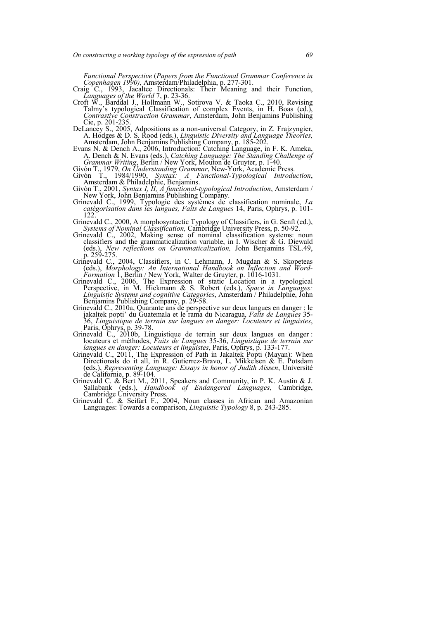- 
- Functional Perspective (Papers from the Functional Grammar Conference in<br>Copenhagen 1990), Amsterdam/Philadelphia, p. 277-301.<br>Craig C., 1993, Jacaltec Directionals: Their Meaning and their Function,<br>Languages of the World
- Contrastive Construction Grammar, Amsterdam, John Benjamins Publishing<br>Cie, p. 201-235.<br>DeLancey S., 2005, Adpositions as a non-universal Category, in Z. Frajzyngier,<br>A. Hodges & D. S. Rood (eds.), *Linguistic Diversity an*
- *Grammar Writing*, Berlin / New York, Mouton de Gruyter, p. 1-40. Givón T., 1979, *On Understanding Grammar*, New-York, Academic Press.
- 
- Givón T., 1984/1990, *Syntax: A Functional-Typological Introduction*, Amsterdam & Philadelphie, Benjamins. Givón T., 2001, *Syntax I, II, A functional-typological Introduction*, Amsterdam /
- New York, John Benjamins Publishing Company. Grinevald C., 1999, Typologie des systèmes de classification nominale, *La*
- *catégorisation dans les langues, Faits de Langues* 14, Paris, Ophrys, p. 101- 122.
- Grinevald C., 2000, A morphosyntactic Typology of Classifiers, in G. Senft (ed.), *Systems of Nominal Classification*, Cambridge University Press, p. 50-92. Grinevald C., 2002, Making sense of nominal classification system
- (eds.), *New reflections on Grammaticalization,* John Benjamins TSL.49,
- p. 259-275. Grinevald C., 2004, Classifiers, in C. Lehmann, J. Mugdan & S. Skopeteas (eds.), *Morphology: An International Handbook on Inflection and Word-*
- (eds.), Morphology: An International Handbook on Inflection and Word-<br>Formation 1, Berlin / New York, Walter de Gruyter, p. 1016-1031.<br>Grinevald C., 2006, The Expression of static Location in a typological<br>Perspective, in
- 
- 30, Linguistique de terrain sur tangues en aanger. Locateurs et tanguissics,<br>
Paris, Ophrys, p. 39-78.<br>
Grinevald C., 2010b, Linguistique de terrain sur deux langues en danger :<br>
locuteurs et méthodes, *Faits de Langues* 3
- (eds.), *Representing Language: Essays in honor of Judith Aissen*, Université
- Grinevald C. & Bert M., 2011, Speakers and Community, in P. K. Austin & J.<br>Sallabank (eds.), *Handbook of Endangered Languages*, Cambridge,<br>Cambridge University Press.<br>Grinevald C. & Seifart F., 2004, Noun classes in Afric
- Languages: Towards a comparison, *Linguistic Typology* 8, p. 243-285.